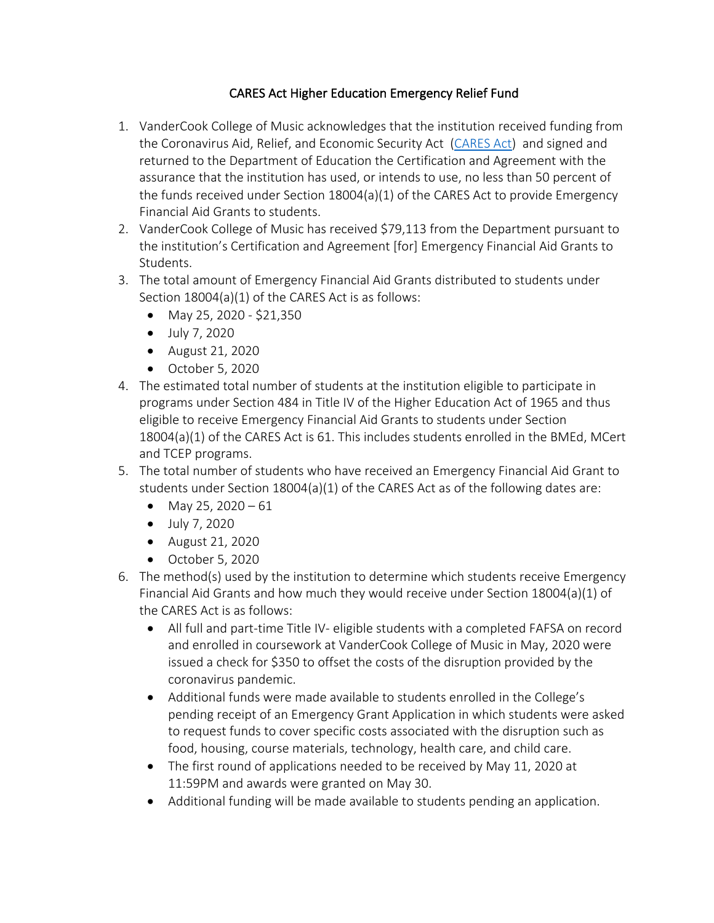## CARES Act Higher Education Emergency Relief Fund

- 1. VanderCook College of Music acknowledges that the institution received funding from the Coronavirus Aid, Relief, and Economic Security Act (CARES Act) and signed and returned to the Department of Education the Certification and Agreement with the assurance that the institution has used, or intends to use, no less than 50 percent of the funds received under Section 18004(a)(1) of the CARES Act to provide Emergency Financial Aid Grants to students.
- 2. VanderCook College of Music has received \$79,113 from the Department pursuant to the institution's Certification and Agreement [for] Emergency Financial Aid Grants to Students.
- 3. The total amount of Emergency Financial Aid Grants distributed to students under Section 18004(a)(1) of the CARES Act is as follows:
	- May 25, 2020 \$21,350
	- July 7, 2020
	- August 21, 2020
	- October 5, 2020
- 4. The estimated total number of students at the institution eligible to participate in programs under Section 484 in Title IV of the Higher Education Act of 1965 and thus eligible to receive Emergency Financial Aid Grants to students under Section 18004(a)(1) of the CARES Act is 61. This includes students enrolled in the BMEd, MCert and TCEP programs.
- 5. The total number of students who have received an Emergency Financial Aid Grant to students under Section  $18004(a)(1)$  of the CARES Act as of the following dates are:
	- May 25, 2020 61
	- July 7, 2020
	- August 21, 2020
	- October 5, 2020
- 6. The method(s) used by the institution to determine which students receive Emergency Financial Aid Grants and how much they would receive under Section 18004(a)(1) of the CARES Act is as follows:
	- All full and part-time Title IV- eligible students with a completed FAFSA on record and enrolled in coursework at VanderCook College of Music in May, 2020 were issued a check for \$350 to offset the costs of the disruption provided by the coronavirus pandemic.
	- Additional funds were made available to students enrolled in the College's pending receipt of an Emergency Grant Application in which students were asked to request funds to cover specific costs associated with the disruption such as food, housing, course materials, technology, health care, and child care.
	- The first round of applications needed to be received by May 11, 2020 at 11:59PM and awards were granted on May 30.
	- Additional funding will be made available to students pending an application.